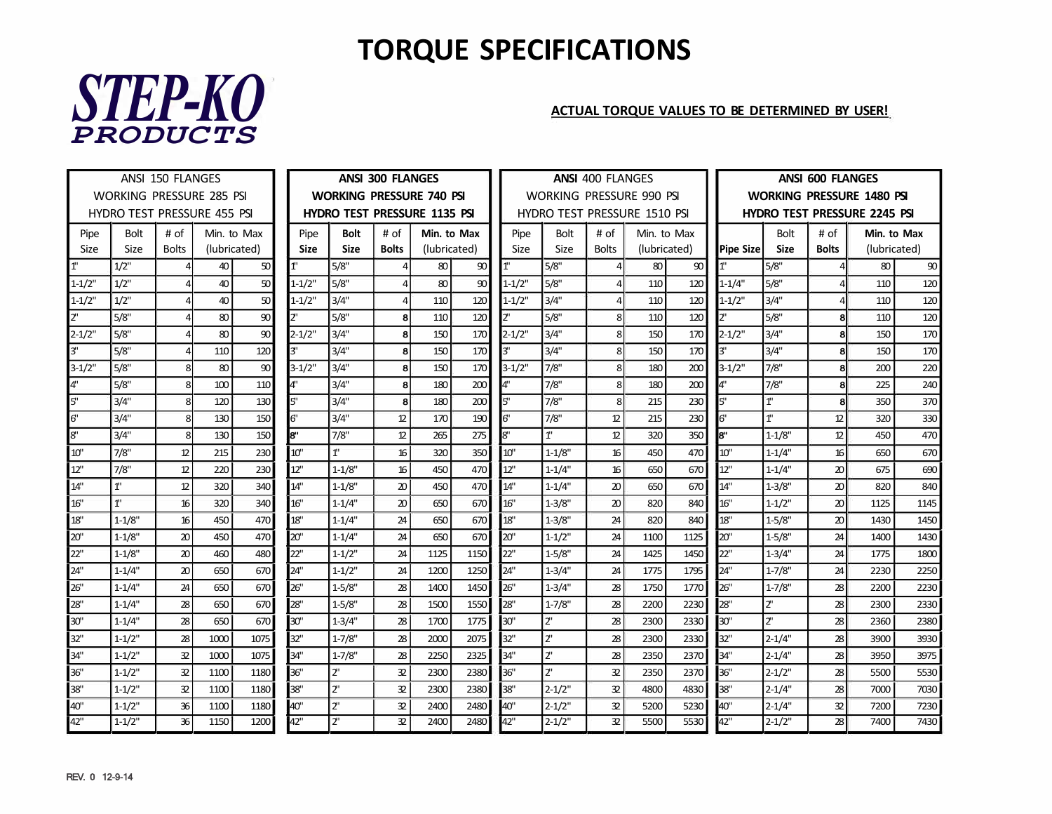## **TORQUE SPECIFICATIONS**



## **ACTUAL TORQUE VALUES TO BE DETERMINED BY USER!**

|                | ANSI 150 FLANGES                |              |      |                 |             | <b>ANSI 300 FLANGES</b>             |              |              |      |                                     | <b>ANSI 400 FLANGES</b>  |              |              |                                     |            | <b>ANSI 600 FLANGES</b>          |       |              |      |  |
|----------------|---------------------------------|--------------|------|-----------------|-------------|-------------------------------------|--------------|--------------|------|-------------------------------------|--------------------------|--------------|--------------|-------------------------------------|------------|----------------------------------|-------|--------------|------|--|
|                | <b>WORKING PRESSURE 285 PSI</b> |              |      |                 |             | <b>WORKING PRESSURE 740 PSI</b>     |              |              |      |                                     | WORKING PRESSURE 990 PSI |              |              |                                     |            | <b>WORKING PRESSURE 1480 PSI</b> |       |              |      |  |
|                | HYDRO TEST PRESSURE 455 PSI     |              |      |                 |             | <b>HYDRO TEST PRESSURE 1135 PSI</b> |              |              |      | <b>HYDRO TEST PRESSURE 1510 PSI</b> |                          |              |              | <b>HYDRO TEST PRESSURE 2245 PSI</b> |            |                                  |       |              |      |  |
| Pipe           | Bolt                            | # of         |      | Min. to Max     | Pipe        | <b>Bolt</b>                         | # of         | Min. to Max  |      | Pipe                                | Bolt                     | # of         | Min. to Max  |                                     |            | <b>Bolt</b>                      | # of  | Min. to Max  |      |  |
| Size           | <b>Size</b>                     | <b>Bolts</b> |      | (lubricated)    | <b>Size</b> | <b>Size</b>                         | <b>Bolts</b> | (lubricated) |      | Size                                | <b>Size</b>              | <b>Bolts</b> | (lubricated) |                                     | Pipe Size  | Size                             | Bolts | (lubricated) |      |  |
| 1 <sup>n</sup> | 1/2"                            |              | 40   | 50              | 1''         | 5/8"                                |              | 80           | 90   | 1"                                  | 5/8"                     |              | 80           | 90                                  | 1"         | 5/8"                             |       | 80           | 90   |  |
| $1 - 1/2$ "    | 1/2"                            |              | 40   | 50 <sub>l</sub> | $1 - 1/2$ " | 5/8"                                |              | 80           | 90   | $1 - 1/2$ "                         | 5/8"                     |              | 110          | 120                                 | $1 - 1/4"$ | 5/8"                             |       | 110          | 120  |  |
| $1 - 1/2$ "    | $1/2$ "                         |              | 40   | 50 <sup>1</sup> | $1 - 1/2$ " | 3/4"                                |              | 110          | 120  | $1 - 1/2$ "                         | 3/4"                     |              | 110          | 120                                 | $1 - 1/2"$ | 3/4"                             |       | 110          | 120  |  |
| $7^{\circ}$    | 5/8"                            |              | 80   | 90              | プ           | 5/8"                                | 8l           | 110          | 120  | $\mathcal{V}$                       | 5/8"                     | 8            | 110          | 120                                 | プ          | 5/8"                             | 8     | 110          | 120  |  |
| $2 - 1/2"$     | 5/8"                            |              | 80   | 90              | $2 - 1/2"$  | 3/4"                                | 8            | 150          | 170  | $2 - 1/2"$                          | 3/4"                     | 8            | 150          | 170                                 | $2 - 1/2"$ | 3/4"                             | 8     | 150          | 170  |  |
| 3"             | 5/8"                            |              | 110  | 120             | २'          | 3/4"                                | 8            | 150          | 170  | l3"                                 | 3/4"                     | 8            | 150          | 170                                 | 3"         | 3/4"                             | 8     | 150          | 170  |  |
| $3-1/2"$       | 5/8"                            |              | 80   | 90              | $3 - 1/2"$  | 3/4"                                | 8            | 150          | 170  | $3 - 1/2"$                          | 7/8"                     | 8            | 180          | 200                                 | $3 - 1/2"$ | 7/8"                             | 8     | 200          | 220  |  |
| 4"             | 5/8"                            | 8            | 100  | 110             |             | 3/4"                                | 8            | 180          | 200  | 4"                                  | 7/8"                     | 8            | 180          | 200                                 | 4"         | 7/8"                             | 8     | 225          | 240  |  |
| $\overline{5}$ | 3/4"                            | 8            | 120  | 130             | $5^{\circ}$ | 3/4"                                | 8            | 180          | 200  | 5"                                  | 7/8"                     | 8            | 215          | 230                                 | 5'         | $1$ "                            | 8     | 350          | 370  |  |
| $\overline{6}$ | 3/4"                            | $\mathbf{8}$ | 130  | 150             | $6^{\circ}$ | 3/4"                                | 12           | 170          | 190  | $\mathbf{6}$                        | 7/8"                     | 12           | 215          | 230                                 | <b>6'</b>  | $1$ "                            | 12    | 320          | 330  |  |
| $\overline{8}$ | 3/4"                            |              | 130  | 150             | ls"         | 7/8"                                | 12           | 265          | 275  | lg"                                 | 1''                      | 12           | 320          | 350                                 | l8"        | $1 - 1/8"$                       | 12    | 450          | 470  |  |
| 10"            | 7/8"                            | 12           | 215  | 230             | $10$ "      | $10$                                | 16           | 320          | 350  | $10$ "                              | $1 - 1/8"$               | 16           | 450          | 470                                 | $10$ "     | $1 - 1/4"$                       | 16    | 650          | 670  |  |
| 12"            | 7/8"                            | 12           | 220  | 230             | 12"         | $1 - 1/8$ "                         | 16           | 450          | 470  | 12"                                 | $1 - 1/4"$               | 16           | 650          | 670                                 | 12"        | $1 - 1/4"$                       | 20    | 675          | 690  |  |
| 14"            | $1$ "                           | 12           | 320  | 340             | 14"         | $1 - 1/8"$                          | 20           | 450          | 470  | 14"                                 | $1 - 1/4"$               | 20           | 650          | 670                                 | 14"        | $1 - 3/8"$                       | 20    | 820          | 840  |  |
| 16"            | $1$ "                           | 16           | 320  | 340             | 16"         | $1 - 1/4"$                          | 20           | 650          | 670  | 16"                                 | $1 - 3/8"$               | 20           | 820          | 840                                 | 16"        | $1 - 1/2$ "                      | 20    | 1125         | 1145 |  |
| 18"            | $1 - 1/8"$                      | 16           | 450  | 470             | 18"         | $1 - 1/4"$                          | 24           | 650          | 670  | 18"                                 | $1 - 3/8"$               | 24           | 820          | 840                                 | 18"        | $1 - 5/8"$                       | 20    | 1430         | 1450 |  |
| 20"            | $1 - 1/8"$                      | 20           | 450  | 470             | $20$ "      | $1 - 1/4"$                          | 24           | 650          | 670  | 20"                                 | $1 - 1/2"$               | 24           | 1100         | 1125                                | $20$ "     | $1 - 5/8"$                       | 24    | 1400         | 1430 |  |
| 22"            | $1 - 1/8"$                      | 20           | 460  | 480             | 22"         | $1 - 1/2$ "                         | 24           | 1125         | 1150 | 22"                                 | $1 - 5/8"$               | 24           | 1425         | 1450                                | 22"        | $1 - 3/4"$                       | 24    | 1775         | 1800 |  |
| 24"            | $1 - 1/4"$                      | 20           | 650  | 670             | 24"         | $1 - 1/2$ "                         | 24           | 1200         | 1250 | 24"                                 | $1 - 3/4"$               | 24           | 1775         | 1795                                | 24"        | $1 - 7/8"$                       | 24    | 2230         | 2250 |  |
| 26"            | $1 - 1/4"$                      | 24           | 650  | 670             | 26"         | $1 - 5/8"$                          | 28           | 1400         | 1450 | 26"                                 | $1 - 3/4"$               | 28           | 1750         | 1770                                | 26"        | $1 - 7/8"$                       | 28    | 2200         | 2230 |  |
| 28"            | $1 - 1/4"$                      | 28           | 650  | 670             | 28"         | $1 - 5/8"$                          | 28           | 1500         | 1550 | 28"                                 | $1 - 7/8"$               | 28           | 2200         | 2230                                | 28"        | $2$ '                            | 28    | 2300         | 2330 |  |
| 30"            | $1 - 1/4"$                      | 28           | 650  | 670             | 30"         | $1 - 3/4"$                          | 28           | 1700         | 1775 | 30"                                 | 2 <sup>1</sup>           | 28           | 2300         | 2330                                | 30"        | 2 <sup>1</sup>                   | 28    | 2360         | 2380 |  |
| 32"            | $1 - 1/2$ "                     | 28           | 1000 | 1075            | 32"         | $1 - 7/8"$                          | 28           | 2000         | 2075 | 32"                                 | プ'                       | 28           | 2300         | 2330                                | 32"        | $2 - 1/4"$                       | 28    | 3900         | 3930 |  |
| 34"            | $1 - 1/2$ "                     | 32           | 1000 | 1075            | 34"         | $1 - 7/8"$                          | 28           | 2250         | 2325 | 34"                                 | 2 <sup>1</sup>           | 28           | 2350         | 2370                                | 34"        | $2 - 1/4"$                       | 28    | 3950         | 3975 |  |
| 36"            | $1 - 1/2$ "                     | 32           | 1100 | 1180            | 36"         | 2 <sup>n</sup>                      | 32           | 2300         | 2380 | 36"                                 | <b>プ</b>                 | 32           | 2350         | 2370                                | 36"        | $2 - 1/2"$                       | 28    | 5500         | 5530 |  |
| 38"            | $1 - 1/2$ "                     | 32           | 1100 | 1180            | 38"         | 2 <sup>n</sup>                      | 32           | 2300         | 2380 | 38"                                 | $2 - 1/2"$               | 32           | 4800         | 4830                                | 38"        | $2 - 1/4"$                       | 28    | 7000         | 7030 |  |
| 40"            | $1 - 1/2"$                      | 36           | 1100 | 1180            | 40"         | 2 <sup>1</sup>                      | 32           | 2400         | 2480 | 40"                                 | $2 - 1/2"$               | 32           | 5200         | 5230                                | 40"        | $2 - 1/4"$                       | 32    | 7200         | 7230 |  |
| 42"            | $1 - 1/2$ "                     | 36           | 1150 | 1200            | 42"         | 2"                                  | 32           | 2400         | 2480 | 42"                                 | $2 - 1/2"$               | 32           | 5500         | 5530                                | 42"        | $2 - 1/2"$                       | 28    | 7400         | 7430 |  |